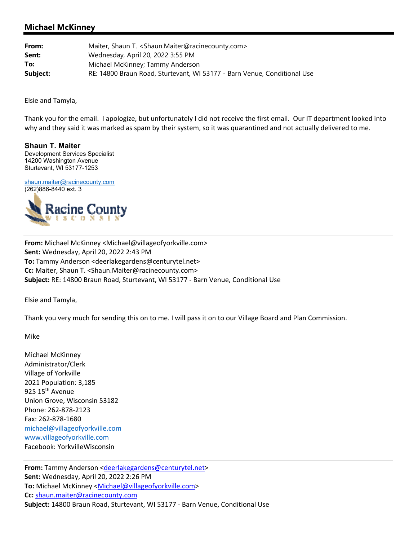## **Michael McKinney**

| From:    | Maiter, Shaun T. <shaun.maiter@racinecounty.com></shaun.maiter@racinecounty.com> |
|----------|----------------------------------------------------------------------------------|
| Sent:    | Wednesday, April 20, 2022 3:55 PM                                                |
| To:      | Michael McKinney; Tammy Anderson                                                 |
| Subject: | RE: 14800 Braun Road, Sturtevant, WI 53177 - Barn Venue, Conditional Use         |

Elsie and Tamyla,

Thank you for the email. I apologize, but unfortunately I did not receive the first email. Our IT department looked into why and they said it was marked as spam by their system, so it was quarantined and not actually delivered to me.

**Shaun T. Maiter**  Development Services Specialist 14200 Washington Avenue Sturtevant, WI 53177-1253

shaun.maiter@racinecounty.com (262)886-8440 ext. 3



**From:** Michael McKinney <Michael@villageofyorkville.com> **Sent:** Wednesday, April 20, 2022 2:43 PM **To:** Tammy Anderson <deerlakegardens@centurytel.net> **Cc:** Maiter, Shaun T. <Shaun.Maiter@racinecounty.com> **Subject:** RE: 14800 Braun Road, Sturtevant, WI 53177 ‐ Barn Venue, Conditional Use

Elsie and Tamyla,

Thank you very much for sending this on to me. I will pass it on to our Village Board and Plan Commission.

Mike

Michael McKinney Administrator/Clerk Village of Yorkville 2021 Population: 3,185 925 15<sup>th</sup> Avenue Union Grove, Wisconsin 53182 Phone: 262‐878‐2123 Fax: 262‐878‐1680 michael@villageofyorkville.com www.villageofyorkville.com Facebook: YorkvilleWisconsin

From: Tammy Anderson <deerlakegardens@centurytel.net> **Sent:** Wednesday, April 20, 2022 2:26 PM To: Michael McKinney <Michael@villageofyorkville.com> **Cc:** shaun.maiter@racinecounty.com **Subject:** 14800 Braun Road, Sturtevant, WI 53177 ‐ Barn Venue, Conditional Use